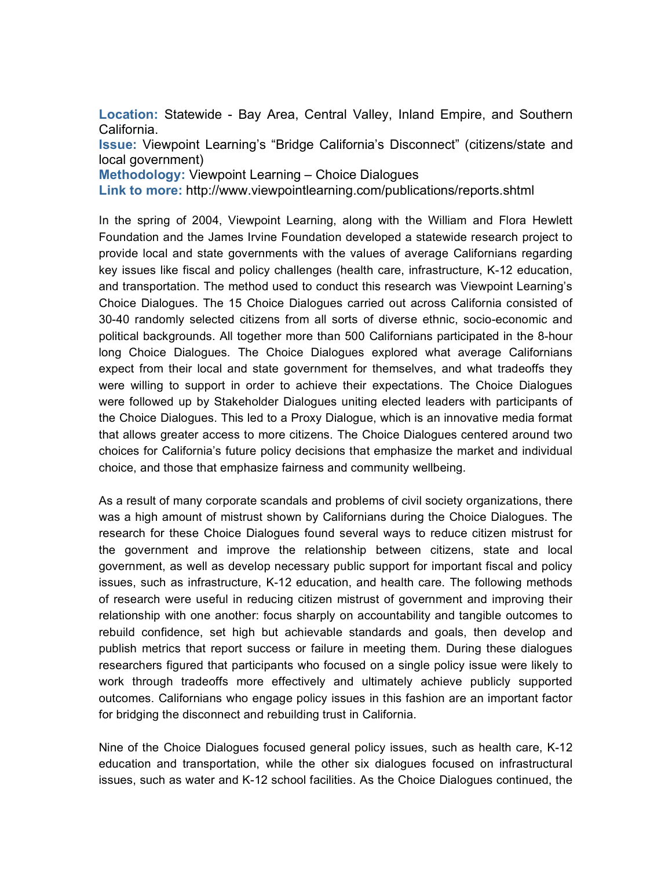**Location:** Statewide - Bay Area, Central Valley, Inland Empire, and Southern California.

**Issue:** Viewpoint Learning's "Bridge California's Disconnect" (citizens/state and local government)

**Methodology:** Viewpoint Learning – Choice Dialogues

**Link to more:** http://www.viewpointlearning.com/publications/reports.shtml

In the spring of 2004, Viewpoint Learning, along with the William and Flora Hewlett Foundation and the James Irvine Foundation developed a statewide research project to provide local and state governments with the values of average Californians regarding key issues like fiscal and policy challenges (health care, infrastructure, K-12 education, and transportation. The method used to conduct this research was Viewpoint Learning's Choice Dialogues. The 15 Choice Dialogues carried out across California consisted of 30-40 randomly selected citizens from all sorts of diverse ethnic, socio-economic and political backgrounds. All together more than 500 Californians participated in the 8-hour long Choice Dialogues. The Choice Dialogues explored what average Californians expect from their local and state government for themselves, and what tradeoffs they were willing to support in order to achieve their expectations. The Choice Dialogues were followed up by Stakeholder Dialogues uniting elected leaders with participants of the Choice Dialogues. This led to a Proxy Dialogue, which is an innovative media format that allows greater access to more citizens. The Choice Dialogues centered around two choices for California's future policy decisions that emphasize the market and individual choice, and those that emphasize fairness and community wellbeing.

As a result of many corporate scandals and problems of civil society organizations, there was a high amount of mistrust shown by Californians during the Choice Dialogues. The research for these Choice Dialogues found several ways to reduce citizen mistrust for the government and improve the relationship between citizens, state and local government, as well as develop necessary public support for important fiscal and policy issues, such as infrastructure, K-12 education, and health care. The following methods of research were useful in reducing citizen mistrust of government and improving their relationship with one another: focus sharply on accountability and tangible outcomes to rebuild confidence, set high but achievable standards and goals, then develop and publish metrics that report success or failure in meeting them. During these dialogues researchers figured that participants who focused on a single policy issue were likely to work through tradeoffs more effectively and ultimately achieve publicly supported outcomes. Californians who engage policy issues in this fashion are an important factor for bridging the disconnect and rebuilding trust in California.

Nine of the Choice Dialogues focused general policy issues, such as health care, K-12 education and transportation, while the other six dialogues focused on infrastructural issues, such as water and K-12 school facilities. As the Choice Dialogues continued, the